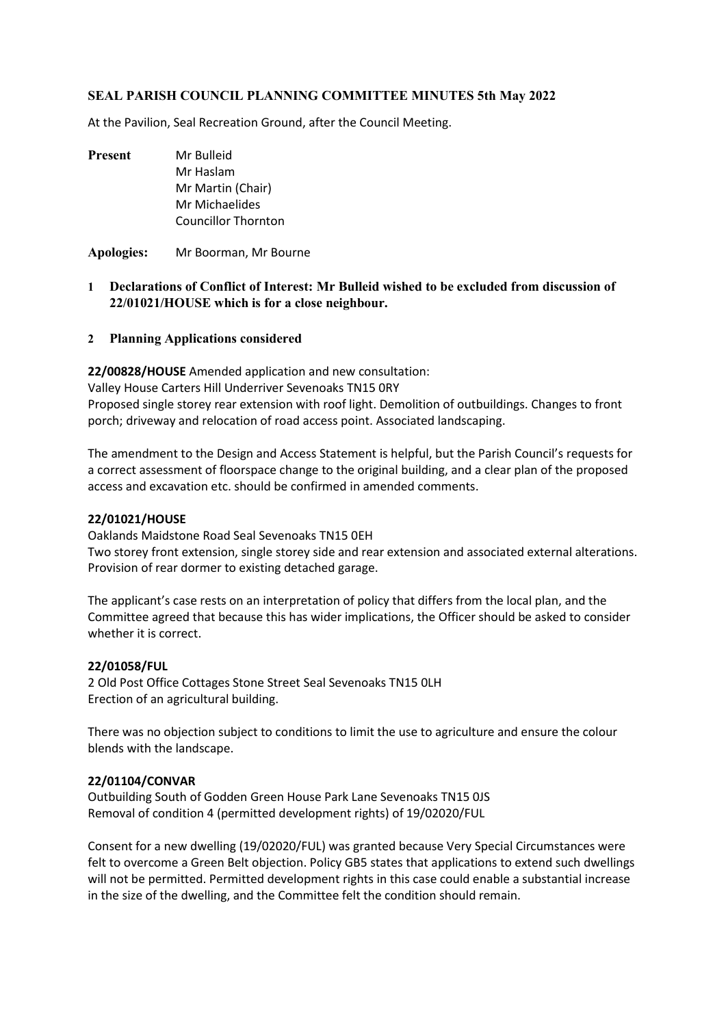### **SEAL PARISH COUNCIL PLANNING COMMITTEE MINUTES 5th May 2022**

At the Pavilion, Seal Recreation Ground, after the Council Meeting.

**Present** Mr Bulleid Mr Haslam Mr Martin (Chair) Mr Michaelides Councillor Thornton

**Apologies:** Mr Boorman, Mr Bourne

- **1 Declarations of Conflict of Interest: Mr Bulleid wished to be excluded from discussion of 22/01021/HOUSE which is for a close neighbour.**
- **2 Planning Applications considered**

**22/00828/HOUSE** Amended application and new consultation: Valley House Carters Hill Underriver Sevenoaks TN15 0RY

Proposed single storey rear extension with roof light. Demolition of outbuildings. Changes to front porch; driveway and relocation of road access point. Associated landscaping.

The amendment to the Design and Access Statement is helpful, but the Parish Council's requests for a correct assessment of floorspace change to the original building, and a clear plan of the proposed access and excavation etc. should be confirmed in amended comments.

#### **22/01021/HOUSE**

Oaklands Maidstone Road Seal Sevenoaks TN15 0EH Two storey front extension, single storey side and rear extension and associated external alterations. Provision of rear dormer to existing detached garage.

The applicant's case rests on an interpretation of policy that differs from the local plan, and the Committee agreed that because this has wider implications, the Officer should be asked to consider whether it is correct.

#### **22/01058/FUL**

2 Old Post Office Cottages Stone Street Seal Sevenoaks TN15 0LH Erection of an agricultural building.

There was no objection subject to conditions to limit the use to agriculture and ensure the colour blends with the landscape.

#### **22/01104/CONVAR**

Outbuilding South of Godden Green House Park Lane Sevenoaks TN15 0JS Removal of condition 4 (permitted development rights) of 19/02020/FUL

Consent for a new dwelling (19/02020/FUL) was granted because Very Special Circumstances were felt to overcome a Green Belt objection. Policy GB5 states that applications to extend such dwellings will not be permitted. Permitted development rights in this case could enable a substantial increase in the size of the dwelling, and the Committee felt the condition should remain.